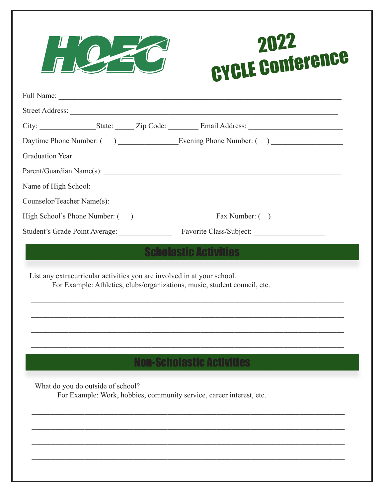

## 2022 **CYCLE Conference**

| Graduation Year |                                   |                                                                                                                                                      |  |
|-----------------|-----------------------------------|------------------------------------------------------------------------------------------------------------------------------------------------------|--|
|                 |                                   |                                                                                                                                                      |  |
|                 |                                   |                                                                                                                                                      |  |
|                 |                                   |                                                                                                                                                      |  |
|                 |                                   |                                                                                                                                                      |  |
|                 |                                   |                                                                                                                                                      |  |
|                 |                                   | List any extracurricular activities you are involved in at your school.<br>For Example: Athletics, clubs/organizations, music, student council, etc. |  |
|                 |                                   |                                                                                                                                                      |  |
|                 | What do you do outside of school? | <b>Non-Scholastic Activities</b><br>For Example: Work, hobbies, community service, career interest, etc.                                             |  |